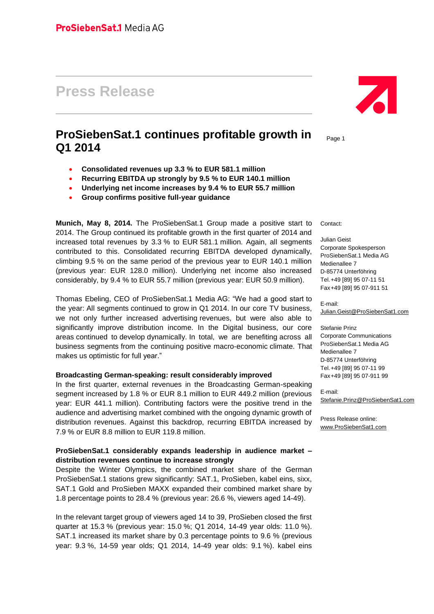# **Press Release**

## **ProSiebenSat.1 continues profitable growth in Q1 2014**

- **Consolidated revenues up 3.3 % to EUR 581.1 million**
- **Recurring EBITDA up strongly by 9.5 % to EUR 140.1 million**
- **Underlying net income increases by 9.4 % to EUR 55.7 million**
- **Group confirms positive full-year guidance**

**Munich, May 8, 2014.** The ProSiebenSat.1 Group made a positive start to 2014. The Group continued its profitable growth in the first quarter of 2014 and increased total revenues by 3.3 % to EUR 581.1 million. Again, all segments contributed to this. Consolidated recurring EBITDA developed dynamically, climbing 9.5 % on the same period of the previous year to EUR 140.1 million (previous year: EUR 128.0 million). Underlying net income also increased considerably, by 9.4 % to EUR 55.7 million (previous year: EUR 50.9 million).

Thomas Ebeling, CEO of ProSiebenSat.1 Media AG: "We had a good start to the year: All segments continued to grow in Q1 2014. In our core TV business, we not only further increased advertising revenues, but were also able to significantly improve distribution income. In the Digital business, our core areas continued to develop dynamically. In total, we are benefiting across all business segments from the continuing positive macro-economic climate. That makes us optimistic for full year."

#### **Broadcasting German-speaking: result considerably improved**

In the first quarter, external revenues in the Broadcasting German-speaking segment increased by 1.8 % or EUR 8.1 million to EUR 449.2 million (previous year: EUR 441.1 million). Contributing factors were the positive trend in the audience and advertising market combined with the ongoing dynamic growth of distribution revenues. Against this backdrop, recurring EBITDA increased by 7.9 % or EUR 8.8 million to EUR 119.8 million.

#### **ProSiebenSat.1 considerably expands leadership in audience market – distribution revenues continue to increase strongly**

Despite the Winter Olympics, the combined market share of the German ProSiebenSat.1 stations grew significantly: SAT.1, ProSieben, kabel eins, sixx, SAT.1 Gold and ProSieben MAXX expanded their combined market share by 1.8 percentage points to 28.4 % (previous year: 26.6 %, viewers aged 14-49).

In the relevant target group of viewers aged 14 to 39, ProSieben closed the first quarter at 15.3 % (previous year: 15.0 %; Q1 2014, 14-49 year olds: 11.0 %). SAT.1 increased its market share by 0.3 percentage points to 9.6 % (previous year: 9.3 %, 14-59 year olds; Q1 2014, 14-49 year olds: 9.1 %). kabel eins



Page 1

Contact:

Julian Geist Corporate Spokesperson ProSiebenSat.1 Media AG Medienallee 7 D-85774 Unterföhring Tel.+49 [89] 95 07-11 51 Fax+49 [89] 95 07-911 51

E-mail: [Julian.Geist@ProSiebenSat1.com](mailto:Julian.Geist@ProSiebenSat1.com)

Stefanie Prinz Corporate Communications ProSiebenSat.1 Media AG Medienallee 7 D-85774 Unterföhring Tel.+49 [89] 95 07-11 99 Fax+49 [89] 95 07-911 99

E-mail: [Stefanie.Prinz@ProSiebenSat1.com](file:///D:/Users/pri0001s/AppData/Local/Microsoft/Windows/Temporary%20Internet%20Files/Content.Outlook/AppData/Local/Microsoft/Windows/Temporary%20Internet%20Files/Content.Outlook/AppData/Local/Microsoft/Windows/Temporary%20Internet%20Files/Content.Outlook/AppData/Local/Microsoft/Windows/Temporary%20Internet%20Files/Content.Outlook/AppData/Local/Microsoft/Windows/Temporary%20Internet%20Files/sroeder/AppData/Local/Microsoft/Windows/Temporary%20Internet%20Files/Content.Outlook/AppData/Local/Microsoft/Windows/Temporary%20Internet%20Files/Content.Outlook/AppData/Local/Microsoft/Windows/sroeder/AppData/Local/Microsoft/Windows/Temporary%20Internet%20Files/Content.Outlook/AppData/Local/Microsoft/Windows/Temporary%20Internet%20Files/Content.Outlook/AppData/Local/Microsoft/Windows/Temporary%20Internet%20Files/AppData/Local/Microsoft/Windows/Temporary%20Internet%20Files/Content.Outlook/D7J5EL6A/Stefanie.Prinz@ProSiebenSat1.com)

Press Release online: [www.ProSiebenSat1.com](http://www.prosiebensat1.com/)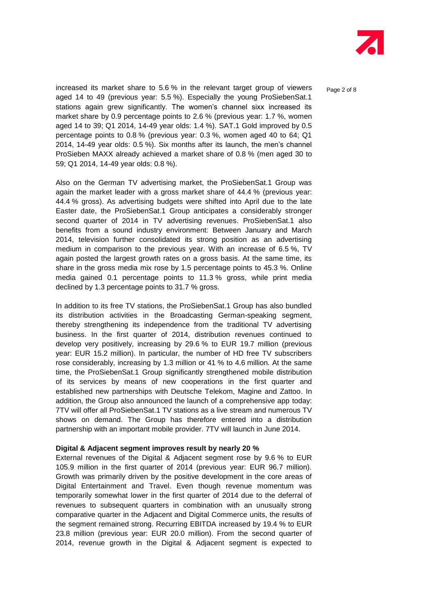

Page 2 of 8

increased its market share to 5.6 % in the relevant target group of viewers aged 14 to 49 (previous year: 5.5 %). Especially the young ProSiebenSat.1 stations again grew significantly. The women's channel sixx increased its market share by 0.9 percentage points to 2.6 % (previous year: 1.7 %, women aged 14 to 39; Q1 2014, 14-49 year olds: 1.4 %). SAT.1 Gold improved by 0.5 percentage points to 0.8 % (previous year: 0.3 %, women aged 40 to 64; Q1 2014, 14-49 year olds: 0.5 %). Six months after its launch, the men's channel ProSieben MAXX already achieved a market share of 0.8 % (men aged 30 to 59; Q1 2014, 14-49 year olds: 0.8 %).

Also on the German TV advertising market, the ProSiebenSat.1 Group was again the market leader with a gross market share of 44.4 % (previous year: 44.4 % gross). As advertising budgets were shifted into April due to the late Easter date, the ProSiebenSat.1 Group anticipates a considerably stronger second quarter of 2014 in TV advertising revenues. ProSiebenSat.1 also benefits from a sound industry environment: Between January and March 2014, television further consolidated its strong position as an advertising medium in comparison to the previous year. With an increase of 6.5 %, TV again posted the largest growth rates on a gross basis. At the same time, its share in the gross media mix rose by 1.5 percentage points to 45.3 %. Online media gained 0.1 percentage points to 11.3 % gross, while print media declined by 1.3 percentage points to 31.7 % gross.

In addition to its free TV stations, the ProSiebenSat.1 Group has also bundled its distribution activities in the Broadcasting German-speaking segment, thereby strengthening its independence from the traditional TV advertising business. In the first quarter of 2014, distribution revenues continued to develop very positively, increasing by 29.6 % to EUR 19.7 million (previous year: EUR 15.2 million). In particular, the number of HD free TV subscribers rose considerably, increasing by 1.3 million or 41 % to 4.6 million. At the same time, the ProSiebenSat.1 Group significantly strengthened mobile distribution of its services by means of new cooperations in the first quarter and established new partnerships with Deutsche Telekom, Magine and Zattoo. In addition, the Group also announced the launch of a comprehensive app today: 7TV will offer all ProSiebenSat.1 TV stations as a live stream and numerous TV shows on demand. The Group has therefore entered into a distribution partnership with an important mobile provider. 7TV will launch in June 2014.

#### **Digital & Adjacent segment improves result by nearly 20 %**

External revenues of the Digital & Adjacent segment rose by 9.6 % to EUR 105.9 million in the first quarter of 2014 (previous year: EUR 96.7 million). Growth was primarily driven by the positive development in the core areas of Digital Entertainment and Travel. Even though revenue momentum was temporarily somewhat lower in the first quarter of 2014 due to the deferral of revenues to subsequent quarters in combination with an unusually strong comparative quarter in the Adjacent and Digital Commerce units, the results of the segment remained strong. Recurring EBITDA increased by 19.4 % to EUR 23.8 million (previous year: EUR 20.0 million). From the second quarter of 2014, revenue growth in the Digital & Adjacent segment is expected to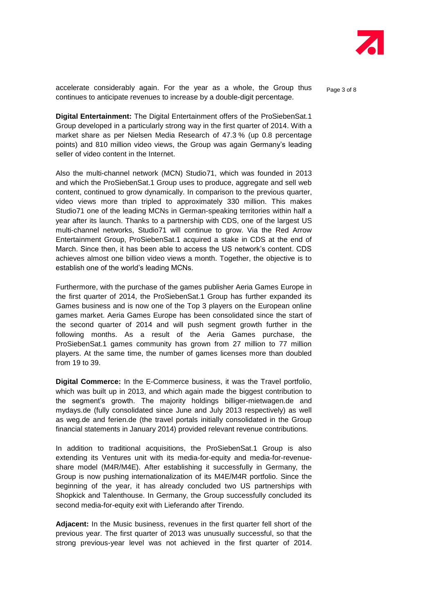

accelerate considerably again. For the year as a whole, the Group thus en <sub>Page 3 of 8</sub> continues to anticipate revenues to increase by a double-digit percentage.

**Digital Entertainment:** The Digital Entertainment offers of the ProSiebenSat.1 Group developed in a particularly strong way in the first quarter of 2014. With a market share as per Nielsen Media Research of 47.3 % (up 0.8 percentage points) and 810 million video views, the Group was again Germany's leading seller of video content in the Internet.

Also the multi-channel network (MCN) Studio71, which was founded in 2013 and which the ProSiebenSat.1 Group uses to produce, aggregate and sell web content, continued to grow dynamically. In comparison to the previous quarter, video views more than tripled to approximately 330 million. This makes Studio71 one of the leading MCNs in German-speaking territories within half a year after its launch. Thanks to a partnership with CDS, one of the largest US multi-channel networks, Studio71 will continue to grow. Via the Red Arrow Entertainment Group, ProSiebenSat.1 acquired a stake in CDS at the end of March. Since then, it has been able to access the US network's content. CDS achieves almost one billion video views a month. Together, the objective is to establish one of the world's leading MCNs.

Furthermore, with the purchase of the games publisher Aeria Games Europe in the first quarter of 2014, the ProSiebenSat.1 Group has further expanded its Games business and is now one of the Top 3 players on the European online games market. Aeria Games Europe has been consolidated since the start of the second quarter of 2014 and will push segment growth further in the following months. As a result of the Aeria Games purchase, the ProSiebenSat.1 games community has grown from 27 million to 77 million players. At the same time, the number of games licenses more than doubled from 19 to 39.

**Digital Commerce:** In the E-Commerce business, it was the Travel portfolio, which was built up in 2013, and which again made the biggest contribution to the segment's growth. The majority holdings billiger-mietwagen.de and mydays.de (fully consolidated since June and July 2013 respectively) as well as weg.de and ferien.de (the travel portals initially consolidated in the Group financial statements in January 2014) provided relevant revenue contributions.

In addition to traditional acquisitions, the ProSiebenSat.1 Group is also extending its Ventures unit with its media-for-equity and media-for-revenueshare model (M4R/M4E). After establishing it successfully in Germany, the Group is now pushing internationalization of its M4E/M4R portfolio. Since the beginning of the year, it has already concluded two US partnerships with Shopkick and Talenthouse. In Germany, the Group successfully concluded its second media-for-equity exit with Lieferando after Tirendo.

**Adjacent:** In the Music business, revenues in the first quarter fell short of the previous year. The first quarter of 2013 was unusually successful, so that the strong previous-year level was not achieved in the first quarter of 2014.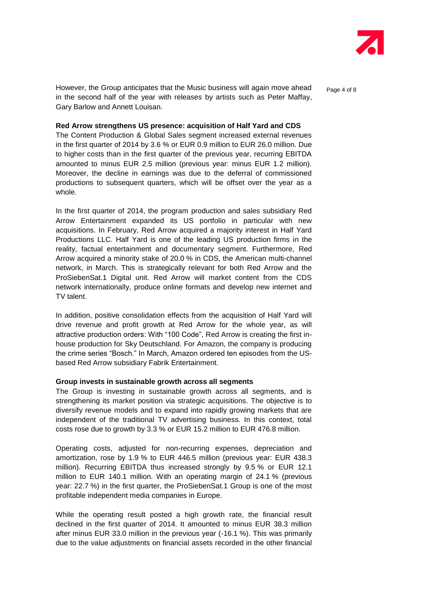

However, the Group anticipates that the Music business will again move ahead  $P_{\text{a}ae 4 of 8}$ in the second half of the year with releases by artists such as Peter Maffay, Gary Barlow and Annett Louisan.

#### **Red Arrow strengthens US presence: acquisition of Half Yard and CDS**

The Content Production & Global Sales segment increased external revenues in the first quarter of 2014 by 3.6 % or EUR 0.9 million to EUR 26.0 million. Due to higher costs than in the first quarter of the previous year, recurring EBITDA amounted to minus EUR 2.5 million (previous year: minus EUR 1.2 million). Moreover, the decline in earnings was due to the deferral of commissioned productions to subsequent quarters, which will be offset over the year as a whole.

In the first quarter of 2014, the program production and sales subsidiary Red Arrow Entertainment expanded its US portfolio in particular with new acquisitions. In February, Red Arrow acquired a majority interest in Half Yard Productions LLC. Half Yard is one of the leading US production firms in the reality, factual entertainment and documentary segment. Furthermore, Red Arrow acquired a minority stake of 20.0 % in CDS, the American multi-channel network, in March. This is strategically relevant for both Red Arrow and the ProSiebenSat.1 Digital unit. Red Arrow will market content from the CDS network internationally, produce online formats and develop new internet and TV talent.

In addition, positive consolidation effects from the acquisition of Half Yard will drive revenue and profit growth at Red Arrow for the whole year, as will attractive production orders: With "100 Code", Red Arrow is creating the first inhouse production for Sky Deutschland. For Amazon, the company is producing the crime series "Bosch." In March, Amazon ordered ten episodes from the USbased Red Arrow subsidiary Fabrik Entertainment.

#### **Group invests in sustainable growth across all segments**

The Group is investing in sustainable growth across all segments, and is strengthening its market position via strategic acquisitions. The objective is to diversify revenue models and to expand into rapidly growing markets that are independent of the traditional TV advertising business. In this context, total costs rose due to growth by 3.3 % or EUR 15.2 million to EUR 476.8 million.

Operating costs, adjusted for non-recurring expenses, depreciation and amortization, rose by 1.9 % to EUR 446.5 million (previous year: EUR 438.3 million). Recurring EBITDA thus increased strongly by 9.5 % or EUR 12.1 million to EUR 140.1 million. With an operating margin of 24.1 % (previous year: 22.7 %) in the first quarter, the ProSiebenSat.1 Group is one of the most profitable independent media companies in Europe.

While the operating result posted a high growth rate, the financial result declined in the first quarter of 2014. It amounted to minus EUR 38.3 million after minus EUR 33.0 million in the previous year (-16.1 %). This was primarily due to the value adjustments on financial assets recorded in the other financial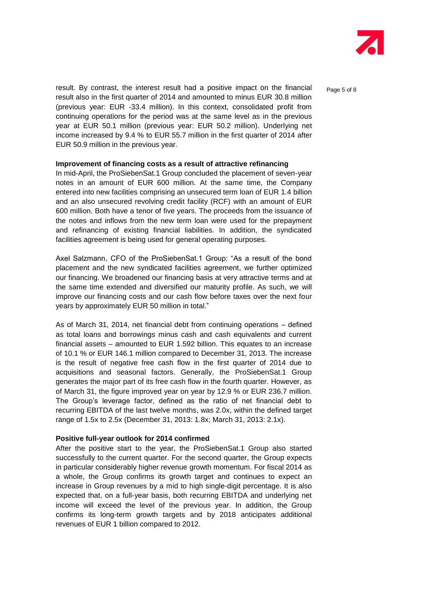

Page 5 of 8

result. By contrast, the interest result had a positive impact on the financial result also in the first quarter of 2014 and amounted to minus EUR 30.8 million (previous year: EUR -33.4 million). In this context, consolidated profit from continuing operations for the period was at the same level as in the previous year at EUR 50.1 million (previous year: EUR 50.2 million). Underlying net income increased by 9.4 % to EUR 55.7 million in the first quarter of 2014 after EUR 50.9 million in the previous year.

#### **Improvement of financing costs as a result of attractive refinancing**

In mid-April, the ProSiebenSat.1 Group concluded the placement of seven-year notes in an amount of EUR 600 million. At the same time, the Company entered into new facilities comprising an unsecured term loan of EUR 1.4 billion and an also unsecured revolving credit facility (RCF) with an amount of EUR 600 million. Both have a tenor of five years. The proceeds from the issuance of the notes and inflows from the new term loan were used for the prepayment and refinancing of existing financial liabilities. In addition, the syndicated facilities agreement is being used for general operating purposes.

Axel Salzmann, CFO of the ProSiebenSat.1 Group: "As a result of the bond placement and the new syndicated facilities agreement, we further optimized our financing. We broadened our financing basis at very attractive terms and at the same time extended and diversified our maturity profile. As such, we will improve our financing costs and our cash flow before taxes over the next four years by approximately EUR 50 million in total."

As of March 31, 2014, net financial debt from continuing operations – defined as total loans and borrowings minus cash and cash equivalents and current financial assets – amounted to EUR 1.592 billion. This equates to an increase of 10.1 % or EUR 146.1 million compared to December 31, 2013. The increase is the result of negative free cash flow in the first quarter of 2014 due to acquisitions and seasonal factors. Generally, the ProSiebenSat.1 Group generates the major part of its free cash flow in the fourth quarter. However, as of March 31, the figure improved year on year by 12.9 % or EUR 236.7 million. The Group's leverage factor, defined as the ratio of net financial debt to recurring EBITDA of the last twelve months, was 2.0x, within the defined target range of 1.5x to 2.5x (December 31, 2013: 1.8x; March 31, 2013: 2.1x).

#### **Positive full-year outlook for 2014 confirmed**

After the positive start to the year, the ProSiebenSat.1 Group also started successfully to the current quarter. For the second quarter, the Group expects in particular considerably higher revenue growth momentum. For fiscal 2014 as a whole, the Group confirms its growth target and continues to expect an increase in Group revenues by a mid to high single-digit percentage. It is also expected that, on a full-year basis, both recurring EBITDA and underlying net income will exceed the level of the previous year. In addition, the Group confirms its long-term growth targets and by 2018 anticipates additional revenues of EUR 1 billion compared to 2012.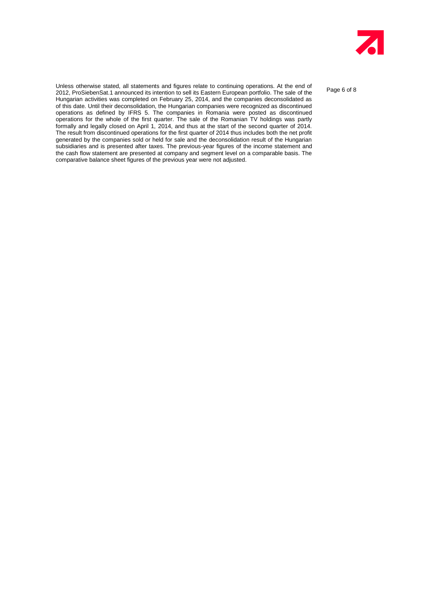

Page 6 of 8

Unless otherwise stated, all statements and figures relate to continuing operations. At the end of 2012, ProSiebenSat.1 announced its intention to sell its Eastern European portfolio. The sale of the Hungarian activities was completed on February 25, 2014, and the companies deconsolidated as of this date. Until their deconsolidation, the Hungarian companies were recognized as discontinued operations as defined by IFRS 5. The companies in Romania were posted as discontinued operations for the whole of the first quarter. The sale of the Romanian TV holdings was partly formally and legally closed on April 1, 2014, and thus at the start of the second quarter of 2014. The result from discontinued operations for the first quarter of 2014 thus includes both the net profit generated by the companies sold or held for sale and the deconsolidation result of the Hungarian subsidiaries and is presented after taxes. The previous-year figures of the income statement and the cash flow statement are presented at company and segment level on a comparable basis. The comparative balance sheet figures of the previous year were not adjusted.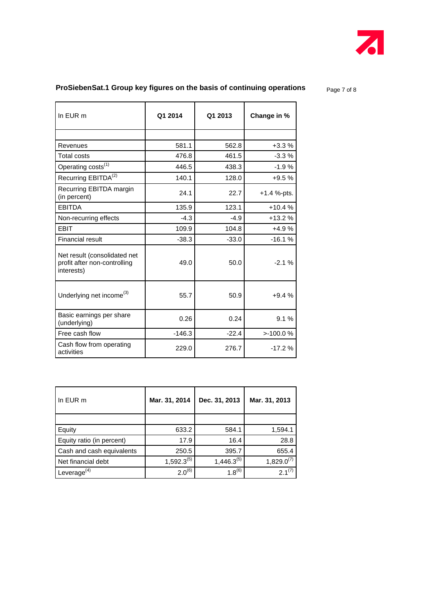

## **ProSiebenSat.1 Group key figures on the basis of continuing operations** Page 7 of 8

| In EUR m                                                                   | Q1 2014  | Q1 2013 | Change in %   |
|----------------------------------------------------------------------------|----------|---------|---------------|
|                                                                            |          |         |               |
| Revenues                                                                   | 581.1    | 562.8   | $+3.3%$       |
| <b>Total costs</b>                                                         | 476.8    | 461.5   | $-3.3%$       |
| Operating costs <sup>(1)</sup>                                             | 446.5    | 438.3   | $-1.9%$       |
| Recurring EBITDA <sup>(2)</sup>                                            | 140.1    | 128.0   | $+9.5%$       |
| Recurring EBITDA margin<br>(in percent)                                    | 24.1     | 22.7    | $+1.4$ %-pts. |
| <b>EBITDA</b>                                                              | 135.9    | 123.1   | $+10.4%$      |
| Non-recurring effects                                                      | $-4.3$   | $-4.9$  | $+13.2%$      |
| <b>EBIT</b>                                                                | 109.9    | 104.8   | $+4.9%$       |
| <b>Financial result</b>                                                    | $-38.3$  | $-33.0$ | $-16.1%$      |
| Net result (consolidated net<br>profit after non-controlling<br>interests) | 49.0     | 50.0    | $-2.1%$       |
| Underlying net income <sup>(3)</sup>                                       | 55.7     | 50.9    | $+9.4%$       |
| Basic earnings per share<br>(underlying)                                   | 0.26     | 0.24    | 9.1%          |
| Free cash flow                                                             | $-146.3$ | $-22.4$ | >100.0%       |
| Cash flow from operating<br>activities                                     | 229.0    | 276.7   | $-17.2%$      |

| In EUR m                  | Mar. 31, 2014   | Dec. 31, 2013   | Mar. 31, 2013   |
|---------------------------|-----------------|-----------------|-----------------|
|                           |                 |                 |                 |
| Equity                    | 633.2           | 584.1           | 1,594.1         |
| Equity ratio (in percent) | 17.9            | 16.4            | 28.8            |
| Cash and cash equivalents | 250.5           | 395.7           | 655.4           |
| Net financial debt        | $1,592.3^{(5)}$ | $1,446.3^{(5)}$ | $1,829.0^{(7)}$ |
| Leverage <sup>(4)</sup>   | $2.0^{(6)}$     | $1.8^{(6)}$     | $2.1^{(7)}$     |